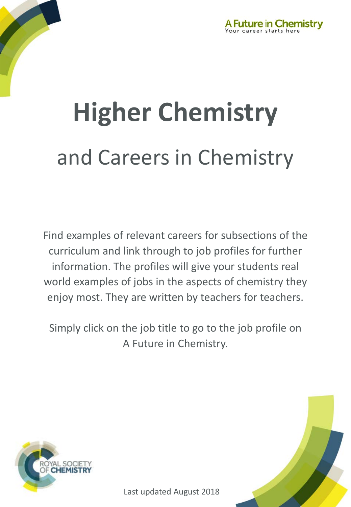

# and Careers in Chemistry **Higher Chemistry**

Find examples of relevant careers for subsections of the curriculum and link through to job profiles for further information. The profiles will give your students real world examples of jobs in the aspects of chemistry they enjoy most. They are written by teachers for teachers.

Simply click on the job title to go to the job profile on A Future in Chemistry.



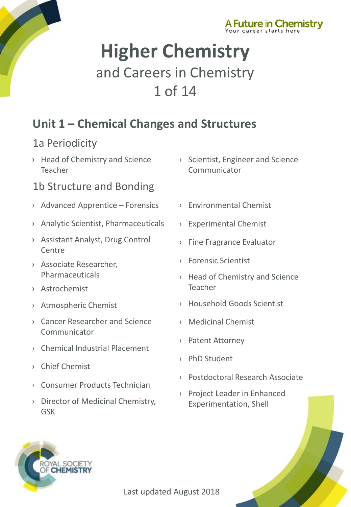



# **Higher Chemistry** and Careers in Chemistry 1 of 14

# **Unit 1 – Chemical Changes and Structures**

#### 1a Periodicity

› [Head of Chemistry and Science](http://www.rsc.org/careers/future/head-chemistry)  Teacher

#### 1b Structure and Bonding

- › [Advanced Apprentice –](http://www.rsc.org/careers/future/advanced-apprentice-forensics) Forensics
- › [Analytic Scientist, Pharmaceuticals](http://www.rsc.org/careers/future/analytical-scientist)
- › [Assistant Analyst, Drug Control](http://www.rsc.org/careers/future/assistant-analyst-drug-control-centre)  Centre
- › [Associate Researcher,](http://www.rsc.org/careers/future/associate-researcher)  Pharmaceuticals
- › [Astrochemist](http://www.rsc.org/careers/future/astrochemist)
- › [Atmospheric Chemist](http://www.rsc.org/careers/future/atmospheric-chemistry-researcher)
- › [Cancer Researcher and Science](http://www.rsc.org/careers/future/cancer-researcher-and-science-communicator)  Communicator
- › [Chemical Industrial Placement](http://www.rsc.org/careers/future/chemical-industrial-placement)
- › [Chief Chemist](http://www.rsc.org/careers/future/chief-chemist)
- › [Consumer Products Technician](http://www.rsc.org/careers/future/consumer-products-technician)
- › [Director of Medicinal Chemistry,](http://www.rsc.org/careers/future/director-medicinal-chemistry)  GSK
- › [Scientist, Engineer and Science](http://www.rsc.org/careers/future/scientist-engineer-and-science-communicator)  Communicator
- › [Environmental Chemist](http://www.rsc.org/careers/future/environmental-chemist)
- › [Experimental Chemist](http://www.rsc.org/careers/future/experimental-chemist)
- › [Fine Fragrance Evaluator](http://www.rsc.org/careers/future/fine-fragrance-evaluator)
- › [Forensic Scientist](http://www.rsc.org/careers/future/forensic-scientist)
- › [Head of Chemistry and Science](http://www.rsc.org/careers/future/head-chemistry)  Teacher
- › [Household Goods Scientist](http://www.rsc.org/careers/future/household-goods-senior-scientist)
- › [Medicinal Chemist](http://www.rsc.org/careers/future/medicinal-chemist)
- › [Patent Attorney](http://www.rsc.org/careers/future/patent-attorney)
- › [PhD Student](http://www.rsc.org/careers/future/phd-student)
- › [Postdoctoral Research Associate](http://www.rsc.org/careers/future/postdoctoral-research-associate)
- › [Project Leader in Enhanced](http://www.rsc.org/careers/future/project-leader-enhanced-experimentation)  Experimentation, Shell

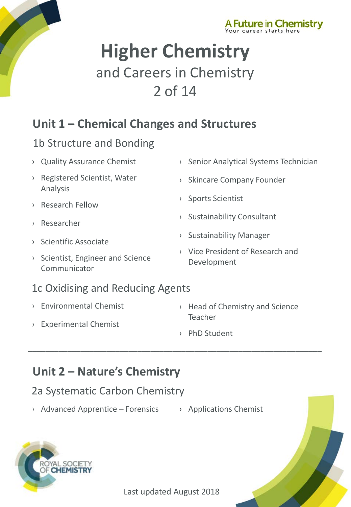



# **Higher Chemistry** and Careers in Chemistry 2 of 14

### **Unit 1 – Chemical Changes and Structures**

#### 1b Structure and Bonding

- › [Quality Assurance Chemist](http://www.rsc.org/careers/future/quality-assurance-chemist)
- › [Registered Scientist, Water](http://www.rsc.org/careers/future/registered-scientist)  Analysis
- › [Research Fellow](http://www.rsc.org/careers/future/research-fellow)
- › [Researcher](http://www.rsc.org/careers/future/researcher-internship)
- › [Scientific Associate](http://www.rsc.org/careers/future/scientific-associate-nmr-spectroscopy)
- › [Scientist, Engineer and Science](http://www.rsc.org/careers/future/scientist-engineer-and-science-communicator)  Communicator
- 1c Oxidising and Reducing Agents
- › [Environmental Chemist](http://www.rsc.org/careers/future/environmental-chemist)
- › [Experimental Chemist](http://www.rsc.org/careers/future/experimental-chemist)
- › [Senior Analytical Systems Technician](http://www.rsc.org/careers/future/senior-analytical-systems-technician)
- › [Skincare Company Founder](http://www.rsc.org/careers/future/founder-saaf-skincare)
- › [Sports Scientist](http://www.rsc.org/careers/future/senior-sports-scientist)
- › [Sustainability Consultant](http://www.rsc.org/careers/future/sustainability-consultant)
- › [Sustainability Manager](http://www.rsc.org/careers/future/sustainability-manager)
- › [Vice President of Research and](http://www.rsc.org/careers/future/vice-president-research-and-development)  Development
- › [Head of Chemistry](http://www.rsc.org/careers/future/head-chemistry) and Science **Teacher**
- › [PhD Student](http://www.rsc.org/careers/future/phd-student)

### **Unit 2 – Nature's Chemistry**

#### 2a Systematic Carbon Chemistry

- $\rightarrow$  [Advanced Apprentice –](http://www.rsc.org/careers/future/advanced-apprentice-forensics) Forensics  $\rightarrow$  [Applications Chemist](http://www.rsc.org/careers/future/applications-chemist)
	-



Last updated August 2018

\_\_\_\_\_\_\_\_\_\_\_\_\_\_\_\_\_\_\_\_\_\_\_\_\_\_\_\_\_\_\_\_\_\_\_\_\_\_\_\_\_\_\_\_\_\_\_\_\_\_\_\_\_\_\_\_\_\_\_\_\_\_\_\_\_\_\_

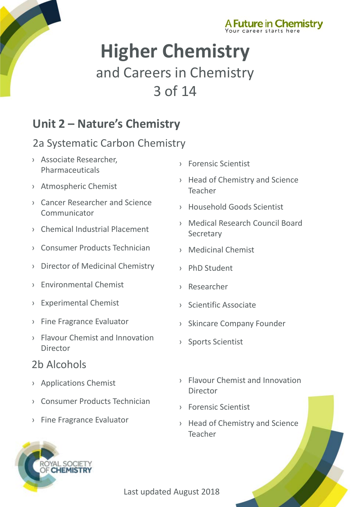



# **Higher Chemistry** and Careers in Chemistry 3 of 14

### **Unit 2 – Nature's Chemistry**

#### 2a Systematic Carbon Chemistry

- › [Associate Researcher,](http://www.rsc.org/careers/future/associate-researcher)  Pharmaceuticals
- › [Atmospheric Chemist](http://www.rsc.org/careers/future/atmospheric-chemistry-researcher)
- › [Cancer Researcher and Science](http://www.rsc.org/careers/future/cancer-researcher-and-science-communicator)  Communicator
- › [Chemical Industrial Placement](http://www.rsc.org/careers/future/chemical-industrial-placement)
- › [Consumer Products Technician](http://www.rsc.org/careers/future/consumer-products-technician)
- › [Director of Medicinal Chemistry](http://www.rsc.org/careers/future/director-medicinal-chemistry)
- › [Environmental Chemist](http://www.rsc.org/careers/future/environmental-chemist)
- › [Experimental Chemist](http://www.rsc.org/careers/future/experimental-chemist)
- › [Fine Fragrance Evaluator](http://www.rsc.org/careers/future/fine-fragrance-evaluator)
- › [Flavour Chemist and Innovation](http://www.rsc.org/careers/future/flavourist-innovation-director)  Director

#### 2b Alcohols

- › [Applications Chemist](http://www.rsc.org/careers/future/applications-chemist)
- › [Consumer Products Technician](http://www.rsc.org/careers/future/consumer-products-technician)
- › [Fine Fragrance Evaluator](http://www.rsc.org/careers/future/fine-fragrance-evaluator)

AL SOCIETY **CHEMISTRY** 

- › [Forensic Scientist](http://www.rsc.org/careers/future/forensic-scientist)
- › [Head of Chemistry and Science](http://www.rsc.org/careers/future/head-chemistry)  Teacher
- › [Household Goods Scientist](http://www.rsc.org/careers/future/household-goods-senior-scientist)
- › [Medical Research Council Board](http://www.rsc.org/careers/future/mrc-board-secretary)  **Secretary**
- › [Medicinal Chemist](http://www.rsc.org/careers/future/medicinal-chemist)
- › [PhD Student](http://www.rsc.org/careers/future/phd-student)
- › [Researcher](http://www.rsc.org/careers/future/researcher-internship)
- › [Scientific Associate](http://www.rsc.org/careers/future/scientific-associate-nmr-spectroscopy)
- › [Skincare Company Founder](http://www.rsc.org/careers/future/founder-saaf-skincare)
- › [Sports Scientist](http://www.rsc.org/careers/future/senior-sports-scientist)
- › [Flavour Chemist and Innovation](http://www.rsc.org/careers/future/flavourist-innovation-director)  Director
- › [Forensic Scientist](http://www.rsc.org/careers/future/forensic-scientist)
- › [Head of Chemistry and Science](http://www.rsc.org/careers/future/head-chemistry)  Teacher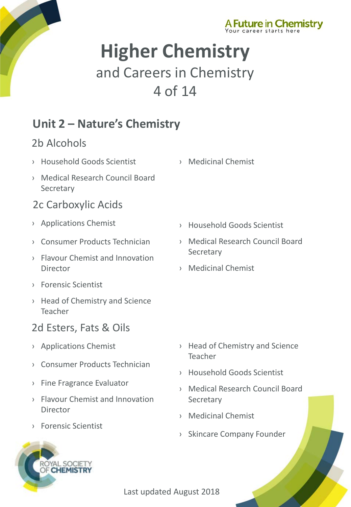



# **Higher Chemistry** and Careers in Chemistry 4 of 14

# **Unit 2 – Nature's Chemistry**

#### 2b Alcohols

- › [Household Goods Scientist](http://www.rsc.org/careers/future/household-goods-senior-scientist) › [Medicinal Chemist](http://www.rsc.org/careers/future/medicinal-chemist)
- › [Medical Research Council Board](http://www.rsc.org/careers/future/mrc-board-secretary)  **Secretary**

#### 2c Carboxylic Acids

- › [Applications Chemist](http://www.rsc.org/careers/future/applications-chemist)
- › [Consumer Products Technician](http://www.rsc.org/careers/future/consumer-products-technician)
- › [Flavour Chemist and Innovation](http://www.rsc.org/careers/future/flavourist-innovation-director)  **Director**
- › [Forensic Scientist](http://www.rsc.org/careers/future/forensic-scientist)
- › [Head of Chemistry and Science](http://www.rsc.org/careers/future/head-chemistry)  Teacher

### 2d Esters, Fats & Oils

- › [Applications Chemist](http://www.rsc.org/careers/future/applications-chemist)
- › [Consumer Products Technician](http://www.rsc.org/careers/future/consumer-products-technician)
- › [Fine Fragrance Evaluator](http://www.rsc.org/careers/future/fine-fragrance-evaluator)
- › [Flavour Chemist and Innovation](http://www.rsc.org/careers/future/flavourist-innovation-director)  Director
- › [Forensic Scientist](http://www.rsc.org/careers/future/forensic-scientist)

AL SOCIETY **CHEMISTRY** 

- 
- › [Household Goods Scientist](http://www.rsc.org/careers/future/household-goods-senior-scientist)
- › [Medical Research Council Board](http://www.rsc.org/careers/future/mrc-board-secretary)  **Secretary**
- › [Medicinal Chemist](http://www.rsc.org/careers/future/medicinal-chemist)

- › [Head of Chemistry and Science](http://www.rsc.org/careers/future/head-chemistry)  Teacher
- › [Household Goods Scientist](http://www.rsc.org/careers/future/household-goods-senior-scientist)
- › [Medical Research Council Board](http://www.rsc.org/careers/future/mrc-board-secretary)  **Secretary**
- › [Medicinal Chemist](http://www.rsc.org/careers/future/medicinal-chemist)
- › [Skincare Company Founder](http://www.rsc.org/careers/future/founder-saaf-skincare)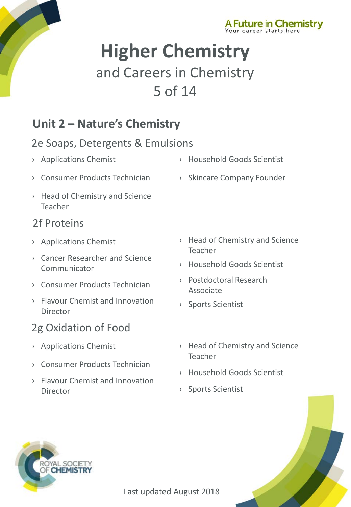



# **Higher Chemistry** and Careers in Chemistry 5 of 14

### **Unit 2 – Nature's Chemistry**

#### 2e Soaps, Detergents & Emulsions

- › [Applications Chemist](http://www.rsc.org/careers/future/applications-chemist) › [Household Goods Scientist](http://www.rsc.org/careers/future/household-goods-senior-scientist)
- › [Consumer Products Technician](http://www.rsc.org/careers/future/consumer-products-technician) › [Skincare Company Founder](http://www.rsc.org/careers/future/founder-saaf-skincare)
- › [Head of Chemistry and Science](http://www.rsc.org/careers/future/head-chemistry)  Teacher

#### 2f Proteins

- › [Applications Chemist](http://www.rsc.org/careers/future/applications-chemist)
- › [Cancer Researcher and Science](http://www.rsc.org/careers/future/cancer-researcher-and-science-communicator)  Communicator
- › [Consumer Products Technician](http://www.rsc.org/careers/future/consumer-products-technician)
- › [Flavour Chemist and Innovation](http://www.rsc.org/careers/future/flavourist-innovation-director)  Director

### 2g Oxidation of Food

- › [Applications Chemist](http://www.rsc.org/careers/future/applications-chemist)
- › [Consumer Products Technician](http://www.rsc.org/careers/future/consumer-products-technician)
- › [Flavour Chemist and Innovation](http://www.rsc.org/careers/future/flavourist-innovation-director)  Director
- › [Head of Chemistry and Science](http://www.rsc.org/careers/future/head-chemistry)  Teacher
- › [Household Goods Scientist](http://www.rsc.org/careers/future/household-goods-senior-scientist)
- › [Postdoctoral Research](http://www.rsc.org/careers/future/postdoctoral-research-associate)  Associate
- › [Sports Scientist](http://www.rsc.org/careers/future/senior-sports-scientist)
- › [Head of Chemistry and Science](http://www.rsc.org/careers/future/head-chemistry) Teacher
- › [Household Goods Scientist](http://www.rsc.org/careers/future/household-goods-senior-scientist)
- › [Sports Scientist](http://www.rsc.org/careers/future/senior-sports-scientist)



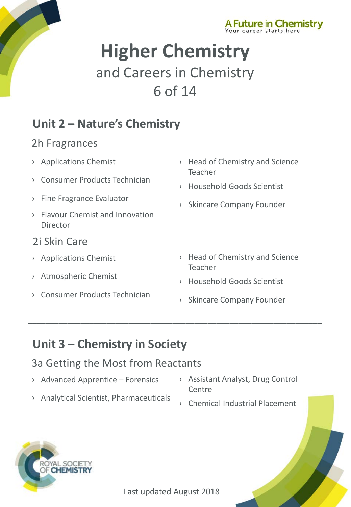



# **Higher Chemistry** and Careers in Chemistry 6 of 14

# **Unit 2 – Nature's Chemistry**

#### 2h Fragrances

- › [Applications Chemist](http://www.rsc.org/careers/future/applications-chemist)
- › [Consumer Products Technician](http://www.rsc.org/careers/future/consumer-products-technician)
- › [Fine Fragrance Evaluator](http://www.rsc.org/careers/future/fine-fragrance-evaluator)
- › [Flavour Chemist and Innovation](http://www.rsc.org/careers/future/flavourist-innovation-director)  Director
- 2i Skin Care
- › [Applications Chemist](http://www.rsc.org/careers/future/applications-chemist)
- › [Atmospheric Chemist](http://www.rsc.org/careers/future/atmospheric-chemistry-researcher)
- › [Consumer Products Technician](http://www.rsc.org/careers/future/consumer-products-technician)
- › [Head of Chemistry and Science](http://www.rsc.org/careers/future/head-chemistry)  Teacher
- › [Household Goods Scientist](http://www.rsc.org/careers/future/household-goods-senior-scientist)
- › [Skincare Company Founder](http://www.rsc.org/careers/future/founder-saaf-skincare)
- › [Head of Chemistry and Science](http://www.rsc.org/careers/future/head-chemistry)  Teacher
- › [Household Goods Scientist](http://www.rsc.org/careers/future/household-goods-senior-scientist)
- › [Skincare Company Founder](http://www.rsc.org/careers/future/founder-saaf-skincare)

# **Unit 3 – Chemistry in Society**

#### 3a Getting the Most from Reactants

› [Advanced Apprentice –](http://www.rsc.org/careers/future/advanced-apprentice-forensics) Forensics

› [Analytical Scientist, Pharmaceuticals](http://www.rsc.org/careers/future/analytical-scientist)

- › [Assistant Analyst, Drug Control](http://www.rsc.org/careers/future/assistant-analyst-drug-control-centre)  **Centre**
- › [Chemical Industrial Placement](http://www.rsc.org/careers/future/chemical-industrial-placement)



\_\_\_\_\_\_\_\_\_\_\_\_\_\_\_\_\_\_\_\_\_\_\_\_\_\_\_\_\_\_\_\_\_\_\_\_\_\_\_\_\_\_\_\_\_\_\_\_\_\_\_\_\_\_\_\_\_\_\_\_\_\_\_\_\_\_\_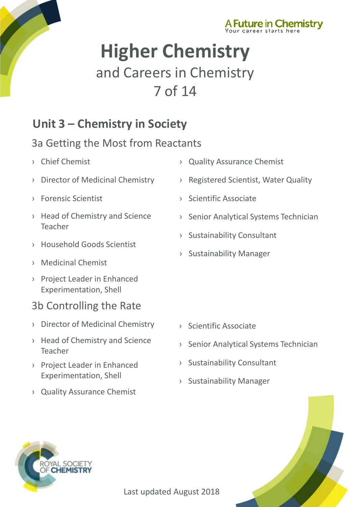



# **Higher Chemistry** and Careers in Chemistry 7 of 14

### **Unit 3 – Chemistry in Society**

#### 3a Getting the Most from Reactants

- › [Chief Chemist](http://www.rsc.org/careers/future/chief-chemist)
- › [Director of Medicinal Chemistry](http://www.rsc.org/careers/future/director-medicinal-chemistry)
- › [Forensic Scientist](http://www.rsc.org/careers/future/forensic-scientist)
- › [Head of Chemistry and Science](http://www.rsc.org/careers/future/head-chemistry)  Teacher
- › [Household Goods Scientist](http://www.rsc.org/careers/future/household-goods-senior-scientist)
- › [Medicinal Chemist](http://www.rsc.org/careers/future/medicinal-chemist)
- › [Project Leader in Enhanced](http://www.rsc.org/careers/future/project-leader-enhanced-experimentation)  Experimentation, Shell

#### 3b Controlling the Rate

- › Director [of Medicinal Chemistry](http://www.rsc.org/careers/future/director-medicinal-chemistry)
- › [Head of Chemistry and Science](http://www.rsc.org/careers/future/head-chemistry)  Teacher
- › [Project Leader in Enhanced](http://www.rsc.org/careers/future/project-leader-enhanced-experimentation) Experimentation, Shell
- › [Quality Assurance Chemist](http://www.rsc.org/careers/future/quality-assurance-chemist)
- › [Quality Assurance Chemist](http://www.rsc.org/careers/future/quality-assurance-chemist)
- › [Registered Scientist, Water Quality](http://www.rsc.org/careers/future/registered-scientist)
- › [Scientific Associate](http://www.rsc.org/careers/future/scientific-associate-nmr-spectroscopy)
- › [Senior Analytical Systems Technician](http://www.rsc.org/careers/future/senior-analytical-systems-technician)
- › [Sustainability Consultant](http://www.rsc.org/careers/future/sustainability-consultant)
- › [Sustainability Manager](http://www.rsc.org/careers/future/sustainability-manager)

- › Scientific [Associate](http://www.rsc.org/careers/future/scientific-associate-nmr-spectroscopy)
- › Senior [Analytical Systems Technician](http://www.rsc.org/careers/future/senior-analytical-systems-technician)
- › [Sustainability Consultant](http://www.rsc.org/careers/future/sustainability-consultant)
- › [Sustainability Manager](http://www.rsc.org/careers/future/sustainability-manager)



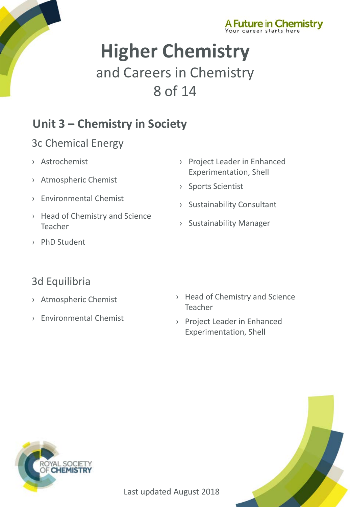



# **Higher Chemistry** and Careers in Chemistry 8 of 14

# **Unit 3 – Chemistry in Society**

#### 3c Chemical Energy

- › [Astrochemist](http://www.rsc.org/careers/future/astrochemist)
- › [Atmospheric Chemist](http://www.rsc.org/careers/future/atmospheric-chemistry-researcher)
- › [Environmental Chemist](http://www.rsc.org/careers/future/environmental-chemist)
- › [Head of Chemistry and Science](http://www.rsc.org/careers/future/head-chemistry)  Teacher
- › [PhD Student](http://www.rsc.org/careers/future/phd-student)
- › [Project Leader in Enhanced](http://www.rsc.org/careers/future/project-leader-enhanced-experimentation)  Experimentation, Shell
- › Sports [Scientist](http://www.rsc.org/careers/future/senior-sports-scientist)
- › [Sustainability Consultant](http://www.rsc.org/careers/future/sustainability-consultant)
- › [Sustainability Manager](http://www.rsc.org/careers/future/sustainability-manager)

#### 3d Equilibria

- › [Atmospheric Chemist](http://www.rsc.org/careers/future/atmospheric-chemistry-researcher)
- › [Environmental Chemist](http://www.rsc.org/careers/future/environmental-chemist)
- › [Head of Chemistry and Science](http://www.rsc.org/careers/future/head-chemistry)  Teacher
- › Project Leader in Enhanced [Experimentation, Shell](http://www.rsc.org/careers/future/project-leader-enhanced-experimentation)



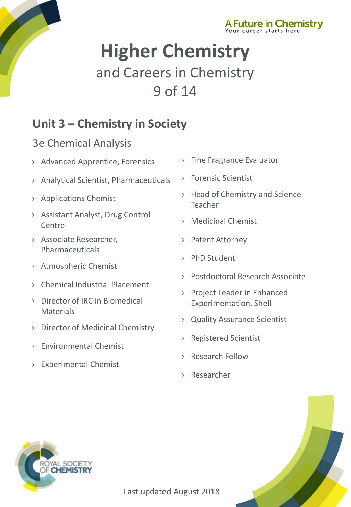



# **Higher Chemistry** and Careers in Chemistry 9 of 14

# **Unit 3 – Chemistry in Society**

#### 3e Chemical Analysis

- › [Advanced Apprentice, Forensics](http://www.rsc.org/careers/future/advanced-apprentice-forensics)
- › [Analytical Scientist, Pharmaceuticals](http://www.rsc.org/careers/future/analytical-scientist)
- › [Applications Chemist](http://www.rsc.org/careers/future/applications-chemist)
- › [Assistant Analyst, Drug Control](http://www.rsc.org/careers/future/assistant-analyst-drug-control-centre)  **Centre**
- › [Associate Researcher,](http://www.rsc.org/careers/future/associate-researcher)  Pharmaceuticals
- › [Atmospheric Chemist](http://www.rsc.org/careers/future/atmospheric-chemistry-researcher)
- › [Chemical Industrial Placement](http://www.rsc.org/careers/future/chemical-industrial-placement)
- › [Director of IRC in Biomedical](http://www.rsc.org/careers/future/director-irc-biomedical-materials)  Materials
- › [Director of Medicinal Chemistry](http://www.rsc.org/careers/future/director-medicinal-chemistry)
- › [Environmental Chemist](http://www.rsc.org/careers/future/environmental-chemist)
- › [Experimental](http://www.rsc.org/careers/future/experimental-chemist) Chemist
- › [Fine Fragrance Evaluator](http://www.rsc.org/careers/future/project-leader-enhanced-experimentation)
- › [Forensic Scientist](http://www.rsc.org/careers/future/experimental-chemist)
- › [Head of Chemistry and Science](http://www.rsc.org/careers/future/head-chemistry)  Teacher
- › [Medicinal Chemist](http://www.rsc.org/careers/future/medicinal-chemist)
- › [Patent Attorney](http://www.rsc.org/careers/future/patent-attorney)
- › [PhD Student](http://www.rsc.org/careers/future/phd-student)
- › [Postdoctoral Research Associate](http://www.rsc.org/careers/future/postdoctoral-research-associate)
- › [Project Leader in Enhanced](http://www.rsc.org/careers/future/project-leader-enhanced-experimentation) Experimentation, Shell
- › [Quality Assurance](http://www.rsc.org/careers/future/quality-assurance-chemist) Scientist
- › [Registered Scientist](http://www.rsc.org/careers/future/registered-scientist)
- › [Research Fellow](http://www.rsc.org/careers/future/research-fellow)
- › [Researcher](http://www.rsc.org/careers/future/researcher-internship)

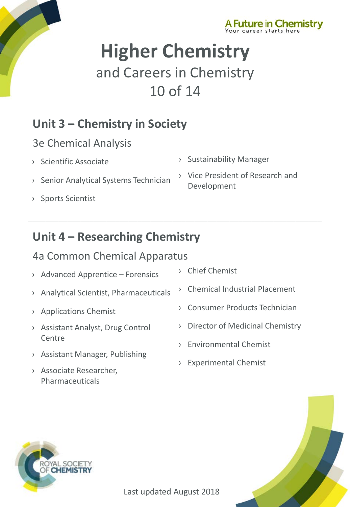



# **Higher Chemistry** and Careers in Chemistry 10 of 14

\_\_\_\_\_\_\_\_\_\_\_\_\_\_\_\_\_\_\_\_\_\_\_\_\_\_\_\_\_\_\_\_\_\_\_\_\_\_\_\_\_\_\_\_\_\_\_\_\_\_\_\_\_\_\_\_\_\_\_\_\_\_\_\_\_\_\_

# **Unit 3 – Chemistry in Society**

#### 3e Chemical Analysis

- › [Scientific Associate](http://www.rsc.org/careers/future/scientific-associate-nmr-spectroscopy)
- › [Senior Analytical Systems Technician](http://www.rsc.org/careers/future/senior-analytical-systems-technician)
- › [Sports Scientist](http://www.rsc.org/careers/future/senior-sports-scientist)
- › [Sustainability Manager](http://www.rsc.org/careers/future/sustainability-manager)
- › [Vice President of Research and](http://www.rsc.org/careers/future/vice-president-research-and-development)  Development

# **Unit 4 – Researching Chemistry**

#### 4a Common Chemical Apparatus

- › [Advanced Apprentice –](http://www.rsc.org/careers/future/advanced-apprentice-forensics) Forensics
- › [Analytical Scientist, Pharmaceuticals](http://www.rsc.org/careers/future/analytical-scientist)
- › [Applications Chemist](http://www.rsc.org/careers/future/applications-chemist)
- › [Assistant Analyst, Drug Control](http://www.rsc.org/careers/future/assistant-analyst-drug-control-centre)  Centre
- › [Assistant Manager, Publishing](http://www.rsc.org/careers/future/assistant-manager-publishing)
- › [Associate Researcher,](http://www.rsc.org/careers/future/associate-researcher)  Pharmaceuticals
- › [Chief Chemist](http://www.rsc.org/careers/future/chief-chemist)
- › [Chemical Industrial Placement](http://www.rsc.org/careers/future/chemical-industrial-placement)
- › [Consumer Products Technician](http://www.rsc.org/careers/future/consumer-products-technician)
- › [Director of Medicinal Chemistry](http://www.rsc.org/careers/future/director-medicinal-chemistry)
- › [Environmental Chemist](http://www.rsc.org/careers/future/environmental-chemist)
- › [Experimental Chemist](http://www.rsc.org/careers/future/experimental-chemist)



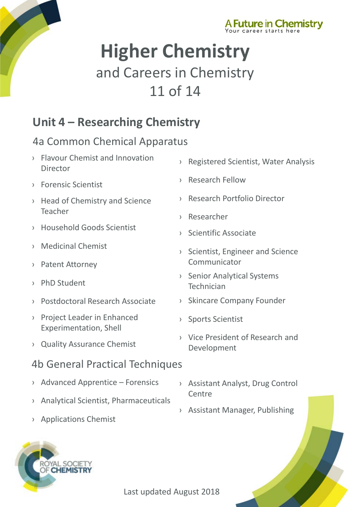



# **Higher Chemistry** and Careers in Chemistry 11 of 14

### **Unit 4 – Researching Chemistry**

#### 4a Common Chemical Apparatus

- › [Flavour Chemist and Innovation](http://www.rsc.org/careers/future/flavourist-innovation-director)  Director
- › [Forensic Scientist](http://www.rsc.org/careers/future/forensic-scientist)
- › [Head of Chemistry and Science](http://www.rsc.org/careers/future/head-chemistry)  Teacher
- › [Household Goods Scientist](http://www.rsc.org/careers/future/household-goods-senior-scientist)
- › [Medicinal Chemist](http://www.rsc.org/careers/future/medicinal-chemist)
- › [Patent Attorney](http://www.rsc.org/careers/future/patent-attorney)
- › [PhD Student](http://www.rsc.org/careers/future/phd-student)
- › [Postdoctoral Research Associate](http://www.rsc.org/careers/future/postdoctoral-research-associate)
- › [Project Leader in Enhanced](http://www.rsc.org/careers/future/project-leader-enhanced-experimentation)  Experimentation, Shell
- › [Quality Assurance Chemist](http://www.rsc.org/careers/future/quality-assurance-chemist)

#### 4b General Practical Techniques

- › [Advanced Apprentice –](http://www.rsc.org/careers/future/advanced-apprentice-forensics) Forensics
- › [Analytical Scientist, Pharmaceuticals](http://www.rsc.org/careers/future/analytical-scientist)
- › [Assistant Analyst, Drug Control](http://www.rsc.org/careers/future/assistant-analyst-drug-control-centre)  Centre
- › [Assistant Manager, Publishing](http://www.rsc.org/careers/future/assistant-manager-publishing)
- › [Applications Chemist](http://www.rsc.org/careers/future/applications-chemist)



- › [Registered Scientist, Water Analysis](http://www.rsc.org/careers/future/registered-scientist)
- › [Research Fellow](http://www.rsc.org/careers/future/research-fellow)
- › [Research Portfolio Director](http://www.rsc.org/careers/future/research-portfolio-director)
- › [Researcher](http://www.rsc.org/careers/future/researcher-internship)
- › [Scientific Associate](http://www.rsc.org/careers/future/scientific-associate-nmr-spectroscopy)
- › [Scientist, Engineer and Science](http://www.rsc.org/careers/future/scientist-engineer-and-science-communicator)  Communicator
- › [Senior Analytical Systems](http://www.rsc.org/careers/future/senior-analytical-systems-technician)  Technician
- › [Skincare Company Founder](http://www.rsc.org/careers/future/founder-saaf-skincare)
- › [Sports Scientist](http://www.rsc.org/careers/future/senior-sports-scientist)
- › [Vice President of Research and](http://www.rsc.org/careers/future/vice-president-research-and-development)  Development

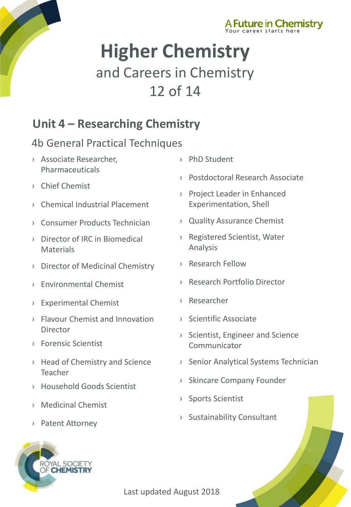



# **Higher Chemistry** and Careers in Chemistry 12 of 14

### **Unit 4 – Researching Chemistry**

#### 4b General Practical Techniques

- › [Associate Researcher,](http://www.rsc.org/careers/future/associate-researcher)  Pharmaceuticals
- › [Chief Chemist](http://www.rsc.org/careers/future/chief-chemist)
- › [Chemical Industrial Placement](http://www.rsc.org/careers/future/chemical-industrial-placement)
- › [Consumer Products Technician](http://www.rsc.org/careers/future/consumer-products-technician)
- › [Director of IRC in Biomedical](http://www.rsc.org/careers/future/director-irc-biomedical-materials)  Materials
- › [Director of Medicinal Chemistry](http://www.rsc.org/careers/future/director-medicinal-chemistry)
- › [Environmental Chemist](http://www.rsc.org/careers/future/environmental-chemist)
- › [Experimental Chemist](http://www.rsc.org/careers/future/experimental-chemist)
- › [Flavour Chemist and Innovation](http://www.rsc.org/careers/future/flavourist-innovation-director)  **Director**
- › [Forensic Scientist](http://www.rsc.org/careers/future/forensic-scientist)
- › [Head of Chemistry and Science](http://www.rsc.org/careers/future/head-chemistry) Teacher
- › [Household Goods Scientist](http://www.rsc.org/careers/future/household-goods-senior-scientist)
- › [Medicinal Chemist](http://www.rsc.org/careers/future/medicinal-chemist)
- › [Patent Attorney](http://www.rsc.org/careers/future/patent-attorney)



- › [PhD Student](http://www.rsc.org/careers/future/phd-student)
- › [Postdoctoral Research Associate](http://www.rsc.org/careers/future/postdoctoral-research-associate)
- › [Project Leader in Enhanced](http://www.rsc.org/careers/future/project-leader-enhanced-experimentation)  Experimentation, Shell
- › [Quality Assurance Chemist](http://www.rsc.org/careers/future/quality-assurance-chemist)
- › [Registered Scientist, Water](http://www.rsc.org/careers/future/registered-scientist)  Analysis
- › [Research Fellow](http://www.rsc.org/careers/future/research-fellow)
- › [Research Portfolio Director](http://www.rsc.org/careers/future/research-portfolio-director)
- › [Researcher](http://www.rsc.org/careers/future/researcher-internship)
- › [Scientific Associate](http://www.rsc.org/careers/future/scientific-associate-nmr-spectroscopy)
- › [Scientist, Engineer and Science](http://www.rsc.org/careers/future/scientist-engineer-and-science-communicator)  Communicator
- › [Senior Analytical Systems Technician](http://www.rsc.org/careers/future/senior-analytical-systems-technician)
- › [Skincare Company Founder](http://www.rsc.org/careers/future/founder-saaf-skincare)
- › [Sports Scientist](http://www.rsc.org/careers/future/senior-sports-scientist)
- › [Sustainability Consultant](http://www.rsc.org/careers/future/sustainability-consultant)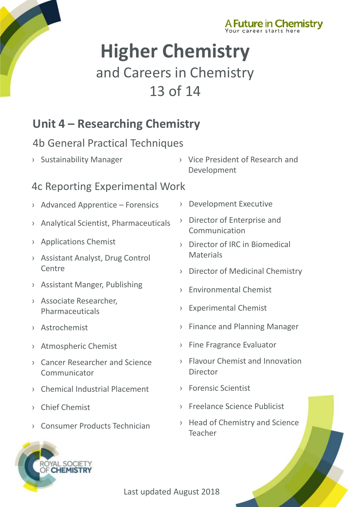



# **Higher Chemistry** and Careers in Chemistry 13 of 14

### **Unit 4 – Researching Chemistry**

#### 4b General Practical Techniques

- 
- › [Sustainability Manager](http://www.rsc.org/careers/future/sustainability-manager) › [Vice President of Research and](http://www.rsc.org/careers/future/vice-president-research-and-development)  Development

#### 4c Reporting Experimental Work

- › [Advanced Apprentice –](http://www.rsc.org/careers/future/advanced-apprentice-forensics) Forensics
- › [Analytical Scientist, Pharmaceuticals](http://www.rsc.org/careers/future/analytical-scientist)
- › [Applications Chemist](http://www.rsc.org/careers/future/applications-chemist)
- › [Assistant Analyst, Drug Control](http://www.rsc.org/careers/future/assistant-analyst-drug-control-centre)  Centre
- › [Assistant Manger, Publishing](http://www.rsc.org/careers/future/assistant-manager-publishing)
- › [Associate Researcher,](http://www.rsc.org/careers/future/associate-researcher)  Pharmaceuticals
- › [Astrochemist](http://www.rsc.org/careers/future/astrochemist)
- › [Atmospheric Chemist](http://www.rsc.org/careers/future/atmospheric-chemistry-researcher)
- › [Cancer Researcher and Science](http://www.rsc.org/careers/future/cancer-researcher-and-science-communicator)  Communicator
- › [Chemical Industrial Placement](http://www.rsc.org/careers/future/chemical-industrial-placement)
- › [Chief Chemist](http://www.rsc.org/careers/future/chief-chemist)

YAL SOCIETY **CHEMISTRY** 

› [Consumer Products Technician](http://www.rsc.org/careers/future/consumer-products-technician)

- › [Development Executive](http://www.rsc.org/careers/future/development-executive)
- › [Director of Enterprise and](http://www.rsc.org/careers/future/director-enterprise-and-communication)  Communication
- › [Director of IRC in Biomedical](http://www.rsc.org/careers/future/director-irc-biomedical-materials)  **Materials**
- › [Director of Medicinal Chemistry](http://www.rsc.org/careers/future/director-medicinal-chemistry)
- › [Environmental Chemist](http://www.rsc.org/careers/future/environmental-chemist)
- › [Experimental Chemist](http://www.rsc.org/careers/future/experimental-chemist)
- › [Finance and Planning Manager](http://www.rsc.org/careers/future/finance-and-planning-manager)
- › [Fine Fragrance Evaluator](http://www.rsc.org/careers/future/fine-fragrance-evaluator)
- › [Flavour Chemist and Innovation](http://www.rsc.org/careers/future/flavourist-innovation-director)  **Director**
- › [Forensic Scientist](http://www.rsc.org/careers/future/forensic-scientist)
- › [Freelance Science Publicist](http://www.rsc.org/careers/future/freelance-science-publicist)
- › [Head of Chemistry and Science](http://www.rsc.org/careers/future/head-chemistry)  Teacher